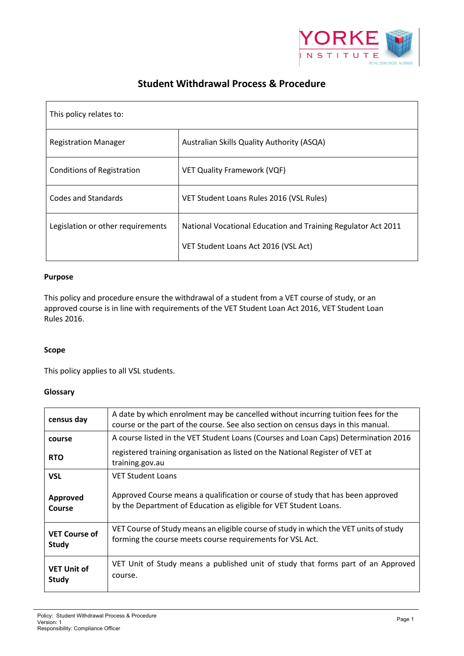

# **Student Withdrawal Process & Procedure**

| This policy relates to:           |                                                                                                       |
|-----------------------------------|-------------------------------------------------------------------------------------------------------|
| <b>Registration Manager</b>       | Australian Skills Quality Authority (ASQA)                                                            |
| <b>Conditions of Registration</b> | <b>VET Quality Framework (VQF)</b>                                                                    |
| Codes and Standards               | VET Student Loans Rules 2016 (VSL Rules)                                                              |
| Legislation or other requirements | National Vocational Education and Training Regulator Act 2011<br>VET Student Loans Act 2016 (VSL Act) |

# **Purpose**

This policy and procedure ensure the withdrawal of a student from a VET course of study, or an approved course is in line with requirements of the VET Student Loan Act 2016, VET Student Loan Rules 2016.

# **Scope**

This policy applies to all VSL students.

# **Glossary**

| census day                           | A date by which enrolment may be cancelled without incurring tuition fees for the<br>course or the part of the course. See also section on census days in this manual. |
|--------------------------------------|------------------------------------------------------------------------------------------------------------------------------------------------------------------------|
| course                               | A course listed in the VET Student Loans (Courses and Loan Caps) Determination 2016                                                                                    |
| <b>RTO</b>                           | registered training organisation as listed on the National Register of VET at<br>training.gov.au                                                                       |
| <b>VSL</b>                           | <b>VET Student Loans</b>                                                                                                                                               |
| Approved<br>Course                   | Approved Course means a qualification or course of study that has been approved<br>by the Department of Education as eligible for VET Student Loans.                   |
| <b>VET Course of</b><br><b>Study</b> | VET Course of Study means an eligible course of study in which the VET units of study<br>forming the course meets course requirements for VSL Act.                     |
| <b>VET Unit of</b><br>Study          | VET Unit of Study means a published unit of study that forms part of an Approved<br>course.                                                                            |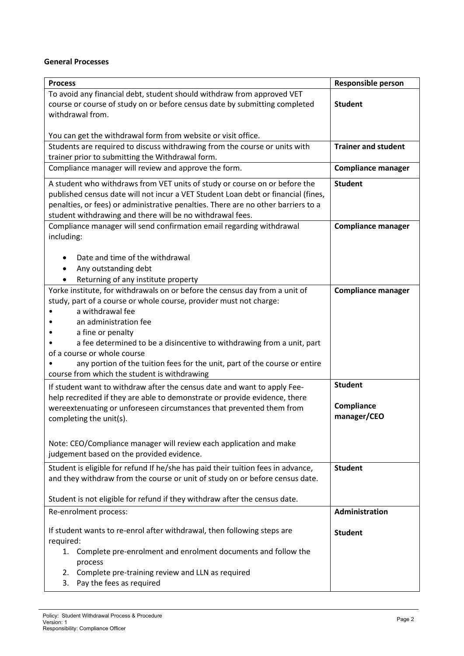# **General Processes**

| <b>Process</b>                                                                              | <b>Responsible person</b>  |
|---------------------------------------------------------------------------------------------|----------------------------|
| To avoid any financial debt, student should withdraw from approved VET                      |                            |
| course or course of study on or before census date by submitting completed                  | <b>Student</b>             |
| withdrawal from.                                                                            |                            |
|                                                                                             |                            |
| You can get the withdrawal form from website or visit office.                               |                            |
| Students are required to discuss withdrawing from the course or units with                  | <b>Trainer and student</b> |
| trainer prior to submitting the Withdrawal form.                                            |                            |
| Compliance manager will review and approve the form.                                        | <b>Compliance manager</b>  |
| A student who withdraws from VET units of study or course on or before the                  | <b>Student</b>             |
| published census date will not incur a VET Student Loan debt or financial (fines,           |                            |
| penalties, or fees) or administrative penalties. There are no other barriers to a           |                            |
| student withdrawing and there will be no withdrawal fees.                                   |                            |
| Compliance manager will send confirmation email regarding withdrawal                        | <b>Compliance manager</b>  |
| including:                                                                                  |                            |
|                                                                                             |                            |
| Date and time of the withdrawal                                                             |                            |
| Any outstanding debt                                                                        |                            |
| Returning of any institute property                                                         |                            |
| Yorke institute, for withdrawals on or before the census day from a unit of                 | <b>Compliance manager</b>  |
| study, part of a course or whole course, provider must not charge:                          |                            |
| a withdrawal fee                                                                            |                            |
| an administration fee                                                                       |                            |
| a fine or penalty<br>a fee determined to be a disincentive to withdrawing from a unit, part |                            |
| of a course or whole course                                                                 |                            |
| any portion of the tuition fees for the unit, part of the course or entire                  |                            |
| course from which the student is withdrawing                                                |                            |
| If student want to withdraw after the census date and want to apply Fee-                    | <b>Student</b>             |
| help recredited if they are able to demonstrate or provide evidence, there                  |                            |
| wereextenuating or unforeseen circumstances that prevented them from                        | Compliance                 |
| completing the unit(s).                                                                     | manager/CEO                |
|                                                                                             |                            |
|                                                                                             |                            |
| Note: CEO/Compliance manager will review each application and make                          |                            |
| judgement based on the provided evidence.                                                   |                            |
| Student is eligible for refund If he/she has paid their tuition fees in advance,            | <b>Student</b>             |
| and they withdraw from the course or unit of study on or before census date.                |                            |
|                                                                                             |                            |
| Student is not eligible for refund if they withdraw after the census date.                  |                            |
| Re-enrolment process:                                                                       | Administration             |
| If student wants to re-enrol after withdrawal, then following steps are                     | <b>Student</b>             |
| required:                                                                                   |                            |
| Complete pre-enrolment and enrolment documents and follow the<br>1.                         |                            |
| process                                                                                     |                            |
| 2. Complete pre-training review and LLN as required                                         |                            |
| Pay the fees as required<br>3.                                                              |                            |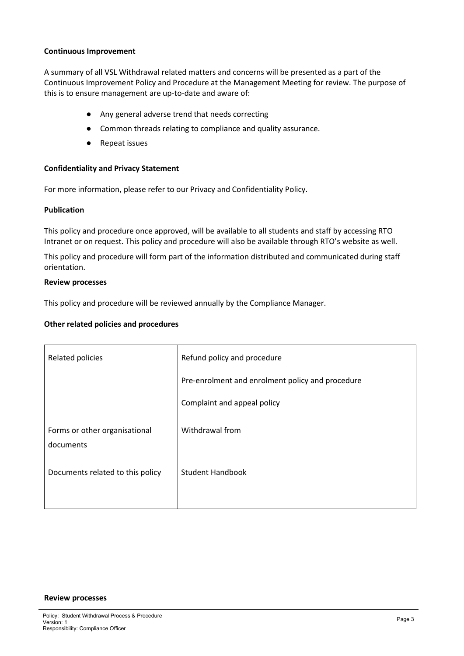### **Continuous Improvement**

A summary of all VSL Withdrawal related matters and concerns will be presented as a part of the Continuous Improvement Policy and Procedure at the Management Meeting for review. The purpose of this is to ensure management are up-to-date and aware of:

- Any general adverse trend that needs correcting
- Common threads relating to compliance and quality assurance.
- Repeat issues

#### **Confidentiality and Privacy Statement**

For more information, please refer to our Privacy and Confidentiality Policy.

#### **Publication**

This policy and procedure once approved, will be available to all students and staff by accessing RTO Intranet or on request. This policy and procedure will also be available through RTO's website as well.

This policy and procedure will form part of the information distributed and communicated during staff orientation.

#### **Review processes**

This policy and procedure will be reviewed annually by the Compliance Manager.

#### **Other related policies and procedures**

| Related policies                           | Refund policy and procedure                      |  |
|--------------------------------------------|--------------------------------------------------|--|
|                                            | Pre-enrolment and enrolment policy and procedure |  |
|                                            | Complaint and appeal policy                      |  |
| Forms or other organisational<br>documents | Withdrawal from                                  |  |
| Documents related to this policy           | <b>Student Handbook</b>                          |  |
|                                            |                                                  |  |

#### **Review processes**